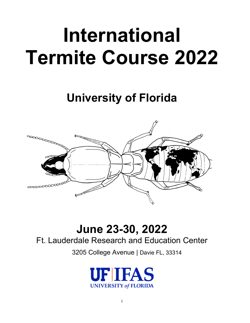# **International Termite Course 2022**

# **University of Florida**



## **June 23-30, 2022**

### Ft. Lauderdale Research and Education Center

3205 College Avenue | Davie FL, 33314

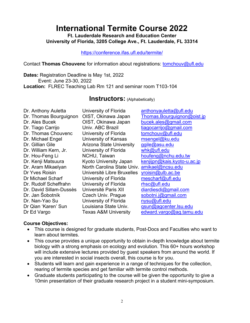### **International Termite Course 2022**

**Ft. Lauderdale Research and Education Center University of Florida, 3205 College Ave., Ft. Lauderdale, FL 33314**

<https://conference.ifas.ufl.edu/termite/>

Contact **Thomas Chouvenc** for information about registrations: [tomchouv@ufl.edu](mailto:tomchouv@ufl.edu)

**Dates:** Registration Deadline is May 1st, 2022 Event: June 23-30, 2022 **Location:** FLREC Teaching Lab Rm 121 and seminar room T103-104

#### **Instructors:** (Alphabetically)

| Dr. Anthony Auletta     | University of Florida                       | anthonyauletta@ufl.edu      |
|-------------------------|---------------------------------------------|-----------------------------|
| Dr. Thomas Bourguignon  | OIST, Okinawa Japan                         | Thomas.Bourguignon@oist.jp  |
| Dr. Ales Bucek          | OIST, Okinawa Japan                         | bucek.ales@gmail.com        |
| Dr. Tiago Carrijo       | Univ. ABC Brazil                            | tiagocarrijo@gmail.com      |
| Dr. Thomas Chouvenc     | University of Florida                       | tomchouv@ufl.edu            |
| Dr. Michael Engel       | University of Kansas                        | msengel@ku.edu              |
| Dr. Gillian Gile        | <b>Arizona State University</b>             | ggile@asu.edu               |
| Dr. William Kern, Jr.   | University of Florida                       | whk@ufl.edu                 |
| Dr. Hou-Feng Li         | NCHU, Taiwan                                | houfeng@nchu.edu.tw         |
| Dr. Kenji Matsuura      | <b>Kyoto University Japan</b>               | kenjijpn@kais.kyoto-u.ac.jp |
| Dr. Aram Mikaelyan      | North Carolina State Univ. amikael@ncsu.edu |                             |
| Dr Yves Roisin          | Université Libre Bruxelles                  | yroisin@ulb.ac.be           |
| Dr Michael Scharf       | University of Florida                       | mescharf@ufl.edu            |
| Dr. Rudolf Scheffrahn   | University of Florida                       | rhsc@ufl.edu                |
| Dr. David Sillam-Dussès | Université Paris XII                        | diardiesdi@gmail.com        |
| Dr. Jan Šobotník        | Czech Univ. Prague                          | sobotni.j@gmail.com         |
| Dr. Nan-Yao Su          | University of Florida                       | nysu@ufl.edu                |
| Dr Qian 'Karen' Sun     | Louisiana State Univ.                       | qsun@agcenter.lsu.edu       |
| Dr Ed Vargo             | <b>Texas A&amp;M University</b>             | edward.vargo@ag.tamu.edu    |

#### **Course Objectives:**

- This course is designed for graduate students, Post-Docs and Faculties who want to learn about termites.
- This course provides a unique opportunity to obtain in-depth knowledge about termite biology with a strong emphasis on ecology and evolution. This 60+ hours workshop will include extensive lectures provided by guest speakers from around the world. If you are interested in social insects overall, this course is for you.
- Students will learn and gain experience in a range of techniques for the collection, rearing of termite species and get familiar with termite control methods.
- Graduate students participating to the course will be given the opportunity to give a 10min presentation of their graduate research project in a student mini-symposium.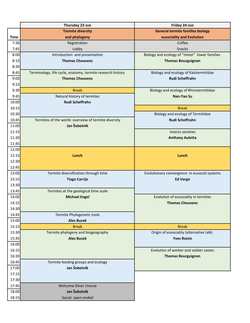|                | Thursday 23-Jun                                            | Friday 24-Jun                                 |  |
|----------------|------------------------------------------------------------|-----------------------------------------------|--|
|                | <b>Termite diversity</b>                                   | <b>General termite families biology</b>       |  |
| <b>Time</b>    | and phylogeny                                              | eusociality and Evolution                     |  |
| 7:30           | Registration                                               | Coffee                                        |  |
| 7:45           | Lobby                                                      | <b>Snacks</b>                                 |  |
| 8:00           | Introduction and presentation                              | Biology and ecology of "minor" lower families |  |
| 8:15           | <b>Thomas Chouvenc</b>                                     | <b>Thomas Bourguignon</b>                     |  |
| 8:30           |                                                            |                                               |  |
| 8:45           | Terminology, life cycle, anatomy, termite research history | Biology and ecology of Kalotermitidae         |  |
| 9:00           | <b>Thomas Chouvenc</b>                                     | Rudi Scheffrahn                               |  |
| 9:15           |                                                            |                                               |  |
| 9:30           | <b>Break</b>                                               | Biology and ecology of Rhinotermitidae        |  |
| 9:45           | Natural history of termites                                | Nan-Yao Su                                    |  |
| 10:00          | <b>Rudi Scheffrahn</b>                                     |                                               |  |
| 10:15          |                                                            | <b>Break</b>                                  |  |
| 10:30          |                                                            | Biology and ecology of Termitidae             |  |
| 10:45          | Termites of the world- overview of termite diversity       | Rudi Scheffrahn                               |  |
| 11:00          | Jan Šobotník                                               |                                               |  |
| 11:15          |                                                            | Insects societes                              |  |
| 11:30          |                                                            | <b>Anthony Auletta</b>                        |  |
| 11:45          |                                                            |                                               |  |
| 12:00<br>12:15 | Lunch                                                      | Lunch                                         |  |
| 12:30          |                                                            |                                               |  |
| 12:45          |                                                            |                                               |  |
| 13:00          | Termite diversification through time                       | Evolutionary convergence in eusocial systems  |  |
| 13:15          | <b>Tiago Carrijo</b>                                       | <b>Ed Vargo</b>                               |  |
| 13:30          |                                                            |                                               |  |
| 13:45          | Termites at the geological time scale                      |                                               |  |
| 14:00          | <b>Michael Engel</b>                                       | Evolution of eusociality in termites          |  |
| 14:15          |                                                            | <b>Thomas Chouvenc</b>                        |  |
| 14:30          |                                                            |                                               |  |
| 14:45          | Termite Phylogenetic tools                                 |                                               |  |
| 15:00          | <b>Ales Bucek</b>                                          |                                               |  |
| 15:15          | <b>Break</b>                                               | <b>Break</b>                                  |  |
| 15:30          | Termite phylogeny and biogeography                         | Origin of eusociality (alternative talk)      |  |
| 15:45          | <b>Ales Bucek</b>                                          | <b>Yves Roisin</b>                            |  |
| 16:00          |                                                            |                                               |  |
| 16:15          |                                                            | Evolution of worker and soldier castes        |  |
| 16:30          |                                                            | <b>Thomas Bourguignon</b>                     |  |
| 16:45          | Termite feeding groups and ecology                         |                                               |  |
| 17:00          | Jan Šobotník                                               |                                               |  |
| 17:15          |                                                            |                                               |  |
| 17:30          |                                                            |                                               |  |
| 17:45          | Welcome Diner / movie                                      |                                               |  |
| 18:00          | Jan Šobotník                                               |                                               |  |
| 18:15          | Social open ended                                          |                                               |  |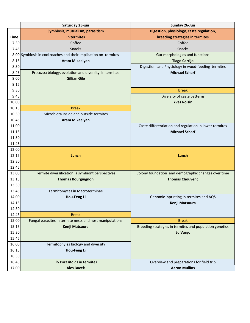|             | Saturday 25-jun                                                 | Sunday 26-Jun                                           |  |
|-------------|-----------------------------------------------------------------|---------------------------------------------------------|--|
|             | Symbiosis, mutualism, parasitism                                | Digestion, physiology, caste regulation,                |  |
| <b>Time</b> | in termites                                                     | breeding strategies in termites                         |  |
| 7:30        | Coffee                                                          | Coffee                                                  |  |
| 7:45        | Snacks                                                          | Snacks                                                  |  |
|             | 8:00 Symbiosis in cockroaches and their implication on termites | Gut morphologies and functions                          |  |
| 8:15        | <b>Aram Mikaelyan</b>                                           | <b>Tiago Carrijo</b>                                    |  |
| 8:30        |                                                                 | Digestion and Physiology in wood-feeding termites       |  |
| 8:45        | Protozoa biology, evolution and diversity in termites           | <b>Michael Scharf</b>                                   |  |
| 9:00        | <b>Gillian Gile</b>                                             |                                                         |  |
| 9:15        |                                                                 |                                                         |  |
| 9:30        |                                                                 | <b>Break</b>                                            |  |
| 9:45        |                                                                 | Diversity of caste patterns                             |  |
| 10:00       |                                                                 | <b>Yves Roisin</b>                                      |  |
| 10:15       | <b>Break</b>                                                    |                                                         |  |
| 10:30       | Microbiota inside and outside termites                          |                                                         |  |
| 10:45       | <b>Aram Mikaelyan</b>                                           |                                                         |  |
| 11:00       |                                                                 | Caste differentiation and regulation in lower termites  |  |
| 11:15       |                                                                 | <b>Michael Scharf</b>                                   |  |
| 11:30       |                                                                 |                                                         |  |
| 11:45       |                                                                 |                                                         |  |
| 12:00       |                                                                 |                                                         |  |
| 12:15       | Lunch                                                           | Lunch                                                   |  |
| 12:30       |                                                                 |                                                         |  |
| 12:45       |                                                                 |                                                         |  |
| 13:00       | Termite diversification: a symbiont perspectives                | Colony foundation and demographic changes over time     |  |
| 13:15       | <b>Thomas Bourguignon</b>                                       | <b>Thomas Chouvenc</b>                                  |  |
| 13:30       |                                                                 |                                                         |  |
| 13:45       | Termitomyces in Macroterminae                                   |                                                         |  |
| 14:00       | Hou-Feng Li                                                     | Genomic inprinting in termites and AQS                  |  |
| 14:15       |                                                                 | Kenji Matsuura                                          |  |
| 14:30       |                                                                 |                                                         |  |
| 14:45       | <b>Break</b>                                                    |                                                         |  |
| 15:00       | Fungal parasites in termite nests and host manipulations        | <b>Break</b>                                            |  |
| 15:15       | Kenji Matsuura                                                  | Breeding strategies in termites and population genetics |  |
| 15:30       |                                                                 | <b>Ed Vargo</b>                                         |  |
| 15:45       |                                                                 |                                                         |  |
| 16:00       | Termitophyles biology and diversity                             |                                                         |  |
| 16:15       | Hou-Feng Li                                                     |                                                         |  |
| 16:30       |                                                                 |                                                         |  |
| 16:45       | Fly Parasitoids in termites                                     | Overview and preparations for field trip                |  |
| 17:00       | <b>Ales Bucek</b>                                               | <b>Aaron Mullins</b>                                    |  |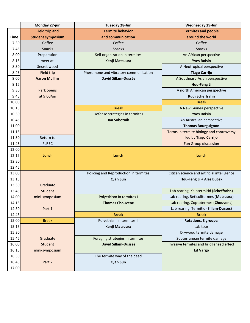|             | Monday 27-jun            | Tuesday 28-Jun                        | <b>Wednesday 29-Jun</b>                     |
|-------------|--------------------------|---------------------------------------|---------------------------------------------|
|             | <b>Field trip and</b>    | <b>Termite behavior</b>               | <b>Termites and people</b>                  |
| <b>Time</b> | <b>Student symposium</b> | and communication                     | around the world                            |
| 7:30        | Coffee                   | Coffee                                | Coffee                                      |
| 7:45        | Snacks                   | <b>Snacks</b>                         | Snacks                                      |
| 8:00        | Preparation              | Self organization in termites         | An African perspective                      |
| 8:15        | meet at                  | Kenji Matsuura                        | <b>Yves Roisin</b>                          |
| 8:30        | Secret wood              |                                       | A Neotropical perspective                   |
| 8:45        | Field trip               | Pheromone and vibratory communication | <b>Tiago Carrijo</b>                        |
| 9:00        | <b>Aaron Mullins</b>     | <b>David Sillam-Dussès</b>            | A Southeast Asian perspective               |
| 9:15        |                          |                                       | Hou-Feng Li                                 |
| 9:30        | Park opens               |                                       | A north American perspective                |
| 9:45        | at 9:00Am                |                                       | Rudi Scheffrahn                             |
| 10:00       |                          |                                       | <b>Break</b>                                |
| 10:15       |                          | <b>Break</b>                          | A New Guinea perspective                    |
| 10:30       |                          | Defense strategies in termites        | <b>Yves Roisin</b>                          |
| 10:45       |                          | Jan Šobotník                          | An Australian perspective                   |
| 11:00       |                          |                                       | <b>Thomas Bourguignon</b>                   |
| 11:15       |                          |                                       | Terms in termite biology and controversy    |
| 11:30       | Return to                |                                       | led by Tiago Carrijo                        |
| 11:45       | <b>FLREC</b>             |                                       | <b>Fun Group discussion</b>                 |
| 12:00       |                          |                                       |                                             |
| 12:15       | Lunch                    | Lunch                                 | Lunch                                       |
| 12:30       |                          |                                       |                                             |
| 12:45       |                          |                                       |                                             |
| 13:00       |                          | Policing and Reproduction in termites | Citizen science and artificial intelligence |
| 13:15       |                          | <b>Qian Sun</b>                       | Hou-Feng Li + Ales Bucek                    |
| 13:30       | Graduate                 |                                       |                                             |
| 13:45       | Student                  |                                       | Lab rearing, Kalotermitid (Scheffrahn)      |
| 14:00       | mini-symposium           | Polyethism in termites I              | Lab rearing, Reticulitermes (Matsuura)      |
| 14:15       |                          | <b>Thomas Chouvenc</b>                | Lab rearing, Coptotermes (Chouvenc)         |
| 14:30       | Part 1                   |                                       | Lab rearing, Termitid (Sillam-Dusses)       |
| 14:45       |                          | <b>Break</b>                          | <b>Break</b>                                |
| 15:00       | <b>Break</b>             | Polyethism in termites II             | <b>Rotations, 3 groups:</b>                 |
| 15:15       |                          | Kenji Matsuura                        | Lab tour                                    |
| 15:30       |                          |                                       | Drywood termite damage                      |
| 15:45       | Graduate                 | Foraging strategies in termites       | Subterranean termite damage                 |
| 16:00       | Student                  | <b>David Sillam-Dussès</b>            | Invasive termites and bridgehead effect     |
| 16:15       | mini-symposium           |                                       | <b>Ed Vargo</b>                             |
| 16:30       |                          | The termite way of the dead           |                                             |
| 16:45       | Part 2                   | <b>Qian Sun</b>                       |                                             |
| 17:00       |                          |                                       |                                             |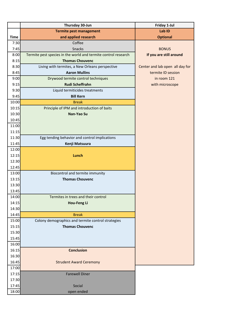|             | Thursday 30-Jun                                                | Friday 1-Jul                    |
|-------------|----------------------------------------------------------------|---------------------------------|
|             | <b>Termite pest management</b>                                 | Lab ID                          |
| <b>Time</b> | and applied research                                           | <b>Optional</b>                 |
| 7:30        | Coffee                                                         |                                 |
| 7:45        | Snacks                                                         | <b>BONUS</b>                    |
| 8:00        | Termite pest species in the world and termite control research | If you are still around         |
| 8:15        | <b>Thomas Chouvenc</b>                                         |                                 |
| 8:30        | Living with termites, a New Orleans perspective                | Center and lab open all day for |
| 8:45        | <b>Aaron Mullins</b>                                           | termite ID session              |
| 9:00        | Drywood termite control techniques                             | in room 121                     |
| 9:15        | <b>Rudi Scheffrahn</b>                                         | with microscope                 |
| 9:30        | Liquid termiticides treatments                                 |                                 |
| 9:45        | <b>Bill Kern</b>                                               |                                 |
| 10:00       | <b>Break</b>                                                   |                                 |
| 10:15       | Principle of IPM and introduction of baits                     |                                 |
| 10:30       | Nan-Yao Su                                                     |                                 |
| 10:45       |                                                                |                                 |
| 11:00       |                                                                |                                 |
| 11:15       |                                                                |                                 |
| 11:30       | Egg tending behavior and control implications                  |                                 |
| 11:45       | Kenji Matsuura                                                 |                                 |
| 12:00       |                                                                |                                 |
| 12:15       | Lunch                                                          |                                 |
| 12:30       |                                                                |                                 |
| 12:45       |                                                                |                                 |
| 13:00       | Biocontrol and termite immunity                                |                                 |
| 13:15       | <b>Thomas Chouvenc</b>                                         |                                 |
| 13:30       |                                                                |                                 |
| 13:45       |                                                                |                                 |
| 14:00       | Termites in trees and their control                            |                                 |
| 14:15       | <b>Hou-Feng Li</b>                                             |                                 |
| 14:30       |                                                                |                                 |
| 14:45       | <b>Break</b>                                                   |                                 |
| 15:00       | Colony demographics and termite control strategies             |                                 |
| 15:15       | <b>Thomas Chouvenc</b>                                         |                                 |
| 15:30       |                                                                |                                 |
| 15:45       |                                                                |                                 |
| 16:00       |                                                                |                                 |
| 16:15       | <b>Conclusion</b>                                              |                                 |
| 16:30       |                                                                |                                 |
| 16:45       | <b>Strudent Award Ceremony</b>                                 |                                 |
| 17:00       |                                                                |                                 |
| 17:15       | <b>Farewell Diner</b>                                          |                                 |
| 17:30       |                                                                |                                 |
| 17:45       | Social                                                         |                                 |
| 18:00       | open ended                                                     |                                 |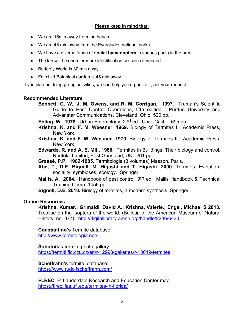#### **Please keep in mind that:**

- We are 15min away from the beach
- We are 45 min away from the Everglades national parks
- We have a diverse fauna of **social hymenoptera** in various parks in the area.
- The lab will be open for more identification sessions if needed.
- Butterfly World is 30 min away
- Fairchild Botanical garden is 45 min away.

If you plan on doing group activities, we can help you organize it, per your request.

#### **Recommended Literature**

**Bennett, G. W., J. M. Owens, and R. M. Corrigan. 1997.** Truman's Scientific Guide to Pest Control Operations, fifth edition. Purdue University and Advanstar Communications, Cleveland, Ohio, 520 pp.

**Ebling, W. 1978.** Urban Entomology, 2nd ed. Univ. Calif. 695 pp.

- **Krishna, K. and F. M. Weesner. 1969.** Biology of Termites I. Academic Press, New York.
- **Krishna, K. and F. M. Weesner. 1970.** Biology of Termites II. Academic Press, New York.
- **Edwards, R. and A. E. Mill. 1986.** Termites in Buildings: Their biology and control. Rentokil Limited, East Grinstead, UK. 261 pp.
- **Grassé, P.P. 1982-1985**. Termitologia (3 volumes) Masson, Paris.
- **Abe, T., D.E. Bignell, M. Higashi and T. Higashi. 2000.** Termites: Evolution, sociality, symbioses, ecology. Springer.
- **Mallis, A. 2004.** Handbook of pest control, 9th ed. Mallis Handbook & Technical Training Comp. 1456 pp.

**Bignell, D.E. 2010.** Biology of termites, a modern synthesis. Springer.

#### **Online Resources**

**Krishna, Kumar.; Grimaldi, David A.; Krishna, Valerie.; Engel, Michael S 2013.** Treatise on the Isoptera of the world. (Bulletin of the American Museum of Natural History, no. 377): <http://digitallibrary.amnh.org/handle/2246/6430>

#### **Constantino's** Termite database:

<http://www.termitologia.net/>

**Šobotník's** termite photo gallery:

<https://termiti.fld.czu.cz/en/r-12998-galleries/r-13019-termites>

**Scheffrahn's** termite database: <https://www.rudolfscheffrahn.com/>

**FLREC**, Ft Lauderdale Research and Education Center map: <https://flrec.ifas.ufl.edu/termites-in-florida/>